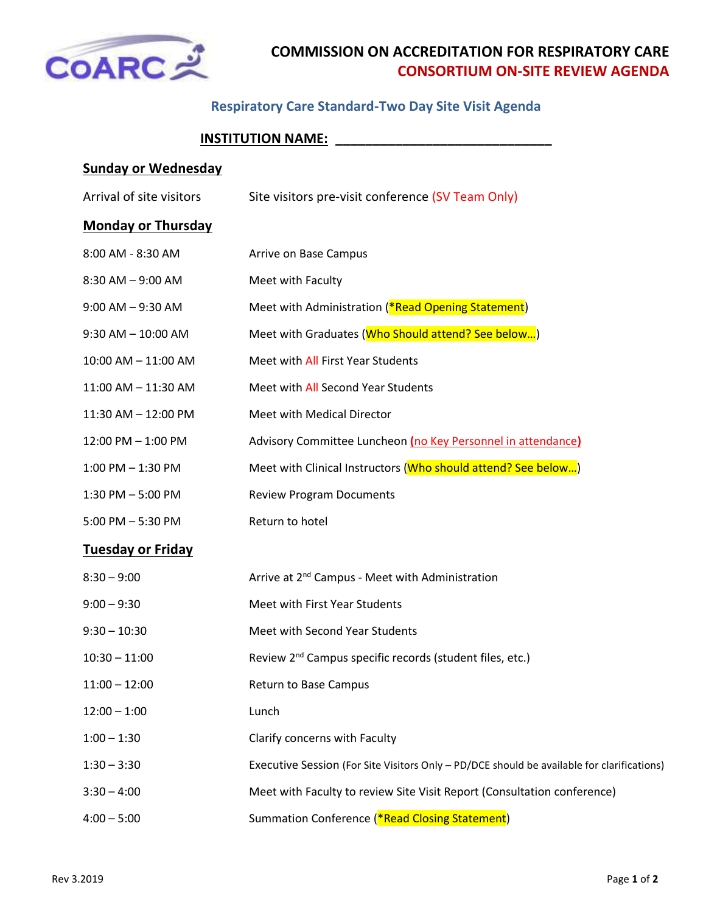

# **COMMISSION ON ACCREDITATION FOR RESPIRATORY CARE CONSORTIUM ON-SITE REVIEW AGENDA**

### **Respiratory Care Standard-Two Day Site Visit Agenda**

### **INSTITUTION NAME: \_\_\_\_\_\_\_\_\_\_\_\_\_\_\_\_\_\_\_\_\_\_\_\_\_\_\_\_\_**

# **Sunday or Wednesday**

| Arrival of site visitors  | Site visitors pre-visit conference (SV Team Only)             |
|---------------------------|---------------------------------------------------------------|
| <b>Monday or Thursday</b> |                                                               |
| 8:00 AM - 8:30 AM         | Arrive on Base Campus                                         |
| 8:30 AM - 9:00 AM         | Meet with Faculty                                             |
| $9:00$ AM $-$ 9:30 AM     | Meet with Administration (*Read Opening Statement)            |
| $9:30$ AM $- 10:00$ AM    | Meet with Graduates (Who Should attend? See below)            |
| 10:00 AM - 11:00 AM       | Meet with All First Year Students                             |
| 11:00 AM - 11:30 AM       | Meet with All Second Year Students                            |
| 11:30 AM - 12:00 PM       | Meet with Medical Director                                    |
| 12:00 PM - 1:00 PM        | Advisory Committee Luncheon (no Key Personnel in attendance)  |
| $1:00$ PM $-1:30$ PM      | Meet with Clinical Instructors (Who should attend? See below) |
| $1:30$ PM $-5:00$ PM      | <b>Review Program Documents</b>                               |
| $5:00$ PM $-5:30$ PM      | Return to hotel                                               |
| Tusaalay ay Friday        |                                                               |

#### **Tuesday or Friday**

| $8:30 - 9:00$   | Arrive at 2 <sup>nd</sup> Campus - Meet with Administration                                |
|-----------------|--------------------------------------------------------------------------------------------|
| $9:00 - 9:30$   | Meet with First Year Students                                                              |
| $9:30 - 10:30$  | Meet with Second Year Students                                                             |
| $10:30 - 11:00$ | Review 2 <sup>nd</sup> Campus specific records (student files, etc.)                       |
| $11:00 - 12:00$ | Return to Base Campus                                                                      |
| $12:00 - 1:00$  | Lunch                                                                                      |
| $1:00 - 1:30$   | Clarify concerns with Faculty                                                              |
| $1:30 - 3:30$   | Executive Session (For Site Visitors Only - PD/DCE should be available for clarifications) |
| $3:30 - 4:00$   | Meet with Faculty to review Site Visit Report (Consultation conference)                    |
| $4:00 - 5:00$   | Summation Conference (*Read Closing Statement)                                             |